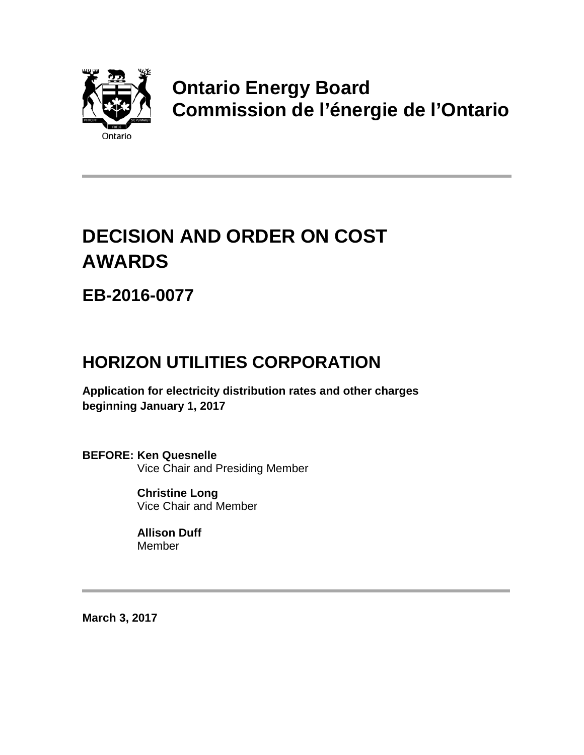

## **Ontario Energy Board Commission de l'énergie de l'Ontario**

# **DECISION AND ORDER ON COST AWARDS**

**EB-2016-0077**

### **HORIZON UTILITIES CORPORATION**

**Application for electricity distribution rates and other charges beginning January 1, 2017**

**BEFORE: Ken Quesnelle** Vice Chair and Presiding Member

> **Christine Long** Vice Chair and Member

**Allison Duff** Member

**March 3, 2017**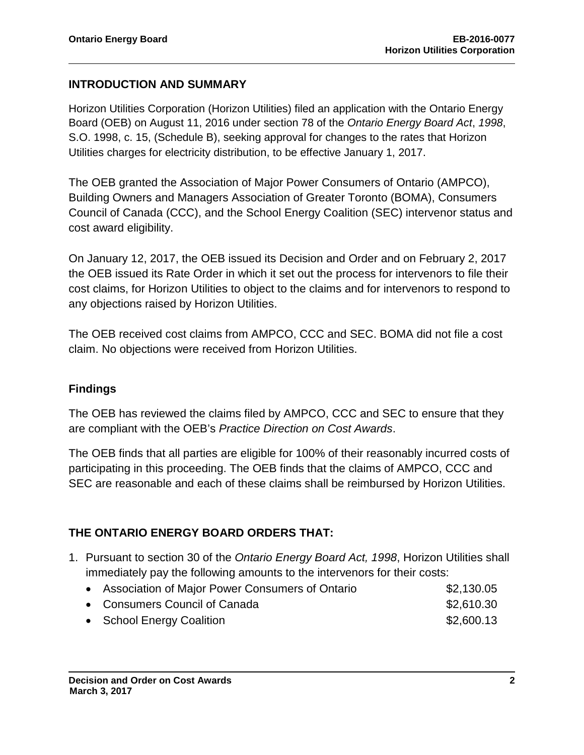#### **INTRODUCTION AND SUMMARY**

Horizon Utilities Corporation (Horizon Utilities) filed an application with the Ontario Energy Board (OEB) on August 11, 2016 under section 78 of the *Ontario Energy Board Act*, *1998*, S.O. 1998, c. 15, (Schedule B), seeking approval for changes to the rates that Horizon Utilities charges for electricity distribution, to be effective January 1, 2017.

The OEB granted the Association of Major Power Consumers of Ontario (AMPCO), Building Owners and Managers Association of Greater Toronto (BOMA), Consumers Council of Canada (CCC), and the School Energy Coalition (SEC) intervenor status and cost award eligibility.

On January 12, 2017, the OEB issued its Decision and Order and on February 2, 2017 the OEB issued its Rate Order in which it set out the process for intervenors to file their cost claims, for Horizon Utilities to object to the claims and for intervenors to respond to any objections raised by Horizon Utilities.

The OEB received cost claims from AMPCO, CCC and SEC. BOMA did not file a cost claim. No objections were received from Horizon Utilities.

#### **Findings**

The OEB has reviewed the claims filed by AMPCO, CCC and SEC to ensure that they are compliant with the OEB's *Practice Direction on Cost Awards*.

The OEB finds that all parties are eligible for 100% of their reasonably incurred costs of participating in this proceeding. The OEB finds that the claims of AMPCO, CCC and SEC are reasonable and each of these claims shall be reimbursed by Horizon Utilities.

#### **THE ONTARIO ENERGY BOARD ORDERS THAT:**

- 1. Pursuant to section 30 of the *Ontario Energy Board Act, 1998*, Horizon Utilities shall immediately pay the following amounts to the intervenors for their costs:
	- Association of Major Power Consumers of Ontario  $$2,130.05$
	- Consumers Council of Canada  $$2,610.30$
	- School Energy Coalition **\$2,600.13**